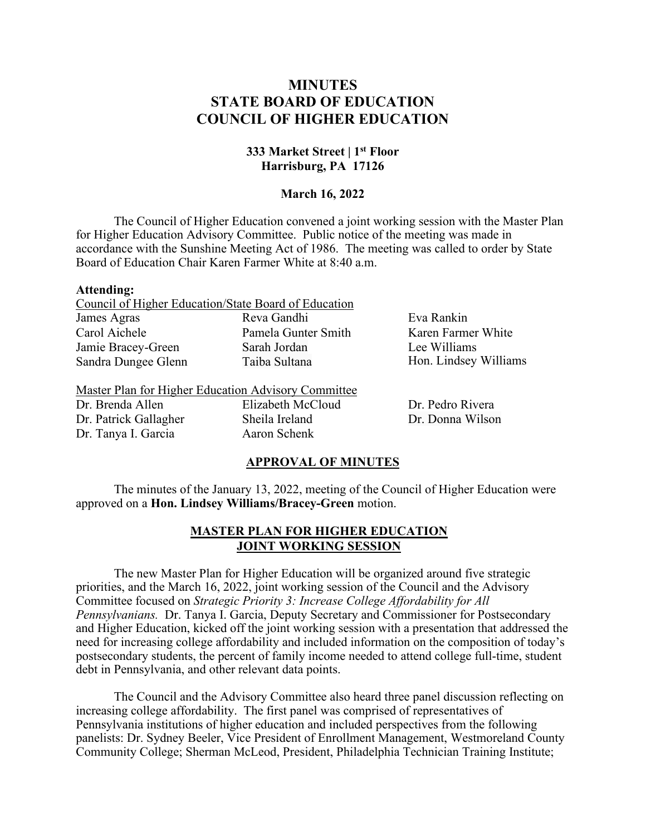# **MINUTES STATE BOARD OF EDUCATION COUNCIL OF HIGHER EDUCATION**

# **333 Market Street | 1st Floor Harrisburg, PA 17126**

## **March 16, 2022**

The Council of Higher Education convened a joint working session with the Master Plan for Higher Education Advisory Committee. Public notice of the meeting was made in accordance with the Sunshine Meeting Act of 1986. The meeting was called to order by State Board of Education Chair Karen Farmer White at 8:40 a.m.

#### **Attending:**

|                     | Council of Higher Education/State Board of Education |              |
|---------------------|------------------------------------------------------|--------------|
| James Agras         | Reva Gandhi                                          | Eva Rankin   |
| Carol Aichele       | Pamela Gunter Smith                                  | Karen Farmer |
| Jamie Bracey-Green  | Sarah Jordan                                         | Lee Williams |
| Sandra Dungee Glenn | Taiba Sultana                                        | Hon. Lindsey |
|                     |                                                      |              |

Dr. Brenda Allen Dr. Patrick Gallagher Dr. Tanya I. Garcia

Elizabeth McCloud Sheila Ireland Aaron Schenk

White Williams

Dr. Pedro Rivera Dr. Donna Wilson

#### **APPROVAL OF MINUTES**

The minutes of the January 13, 2022, meeting of the Council of Higher Education were approved on a **Hon. Lindsey Williams/Bracey-Green** motion.

# **MASTER PLAN FOR HIGHER EDUCATION JOINT WORKING SESSION**

The new Master Plan for Higher Education will be organized around five strategic priorities, and the March 16, 2022, joint working session of the Council and the Advisory Committee focused on *Strategic Priority 3: Increase College Affordability for All Pennsylvanians.* Dr. Tanya I. Garcia, Deputy Secretary and Commissioner for Postsecondary and Higher Education, kicked off the joint working session with a presentation that addressed the need for increasing college affordability and included information on the composition of today's postsecondary students, the percent of family income needed to attend college full-time, student debt in Pennsylvania, and other relevant data points.

The Council and the Advisory Committee also heard three panel discussion reflecting on increasing college affordability. The first panel was comprised of representatives of Pennsylvania institutions of higher education and included perspectives from the following panelists: Dr. Sydney Beeler, Vice President of Enrollment Management, Westmoreland County Community College; Sherman McLeod, President, Philadelphia Technician Training Institute;